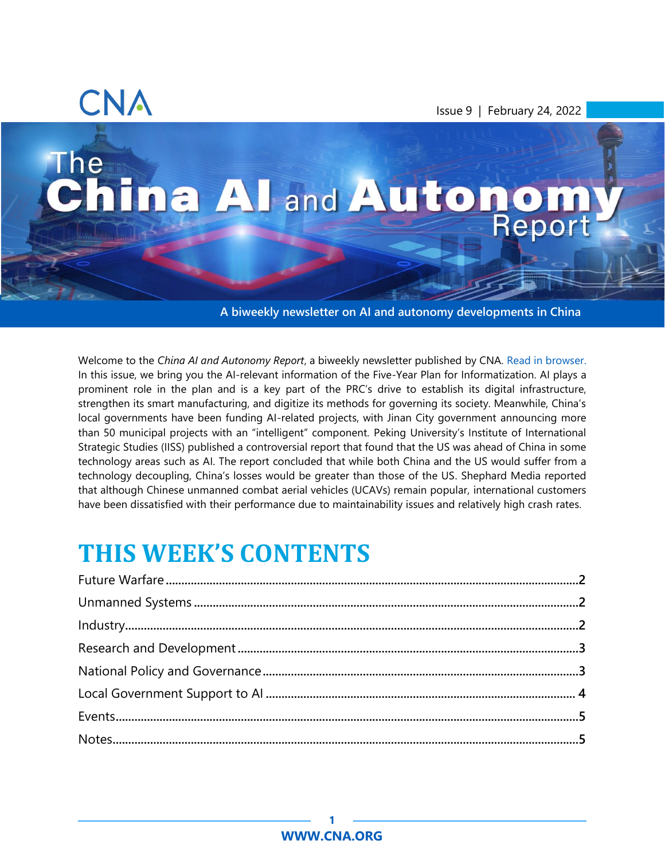

Issue 9 | February 24, 2022

# The China Al and Autonom

**A biweekly newsletter on AI and autonomy developments in China**

Welcome to the *China AI and Autonomy Report*, a biweekly newsletter published by CNA. [Read in browser.](http://www.cna.org/china-ai) In this issue, we bring you the AI-relevant information of the Five-Year Plan for Informatization. AI plays a prominent role in the plan and is a key part of the PRC's drive to establish its digital infrastructure, strengthen its smart manufacturing, and digitize its methods for governing its society. Meanwhile, China's local governments have been funding AI-related projects, with Jinan City government announcing more than 50 municipal projects with an "intelligent" component. Peking University's Institute of International Strategic Studies (IISS) published a controversial report that found that the US was ahead of China in some technology areas such as AI. The report concluded that while both China and the US would suffer from a technology decoupling, China's losses would be greater than those of the US. Shephard Media reported that although Chinese unmanned combat aerial vehicles (UCAVs) remain popular, international customers have been dissatisfied with their performance due to maintainability issues and relatively high crash rates.

## **THIS WEEK'S CONTENTS**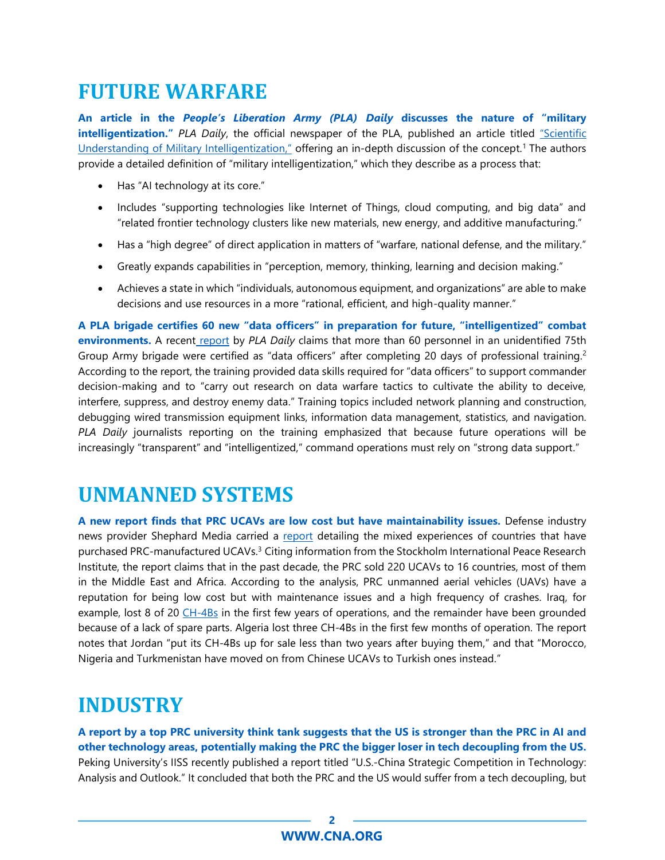### <span id="page-1-0"></span>**FUTURE WARFARE**

**An article in the** *People's Liberation Army (PLA) Daily* **discusses the nature of "military intelligentization."** *PLA Daily*, the official newspaper of the PLA, published an article titled ["Scientific](http://www.81.cn/jfjbmap/content/2022-02/17/content_309572.htm)  [Understanding of Military Intelligentization,](http://www.81.cn/jfjbmap/content/2022-02/17/content_309572.htm)" offering an in-depth discussion of the concept.<sup>1</sup> The authors provide a detailed definition of "military intelligentization," which they describe as a process that:

- Has "AI technology at its core."
- Includes "supporting technologies like Internet of Things, cloud computing, and big data" and "related frontier technology clusters like new materials, new energy, and additive manufacturing."
- Has a "high degree" of direct application in matters of "warfare, national defense, and the military."
- Greatly expands capabilities in "perception, memory, thinking, learning and decision making."
- Achieves a state in which "individuals, autonomous equipment, and organizations" are able to make decisions and use resources in a more "rational, efficient, and high-quality manner."

**A PLA brigade certifies 60 new "data officers" in preparation for future, "intelligentized" combat environments.** A recent [report](http://www.81.cn/yw/2022-02/17/content_10132234.htm) by *PLA Daily* claims that more than 60 personnel in an unidentified 75th Group Army brigade were certified as "data officers" after completing 20 days of professional training.<sup>2</sup> According to the report, the training provided data skills required for "data officers" to support commander decision-making and to "carry out research on data warfare tactics to cultivate the ability to deceive, interfere, suppress, and destroy enemy data." Training topics included network planning and construction, debugging wired transmission equipment links, information data management, statistics, and navigation. *PLA Daily* journalists reporting on the training emphasized that because future operations will be increasingly "transparent" and "intelligentized," command operations must rely on "strong data support."

#### <span id="page-1-1"></span>**UNMANNED SYSTEMS**

**A new report finds that PRC UCAVs are low cost but have maintainability issues.** Defense industry news provider Shephard Media carried a [report](https://www.shephardmedia.com/news/air-warfare/chinese-ucavs-remain-popular-but-buyer-beware/) detailing the mixed experiences of countries that have purchased PRC-manufactured UCAVs.<sup>3</sup> Citing information from the Stockholm International Peace Research Institute, the report claims that in the past decade, the PRC sold 220 UCAVs to 16 countries, most of them in the Middle East and Africa. According to the analysis, PRC unmanned aerial vehicles (UAVs) have a reputation for being low cost but with maintenance issues and a high frequency of crashes. Iraq, for example, lost 8 of 20 [CH-4Bs](https://www.popularmechanics.com/military/a22101/chinas-ch-4b-drone-looks-awfully-familiar/) in the first few years of operations, and the remainder have been grounded because of a lack of spare parts. Algeria lost three CH-4Bs in the first few months of operation. The report notes that Jordan "put its CH-4Bs up for sale less than two years after buying them," and that "Morocco, Nigeria and Turkmenistan have moved on from Chinese UCAVs to Turkish ones instead."

### <span id="page-1-2"></span>**INDUSTRY**

**A report by a top PRC university think tank suggests that the US is stronger than the PRC in AI and other technology areas, potentially making the PRC the bigger loser in tech decoupling from the US.** Peking University's IISS recently published a report titled "U.S.-China Strategic Competition in Technology: Analysis and Outlook." It concluded that both the PRC and the US would suffer from a tech decoupling, but

#### **2 [WWW.CNA.ORG](http://www.cna.org/)**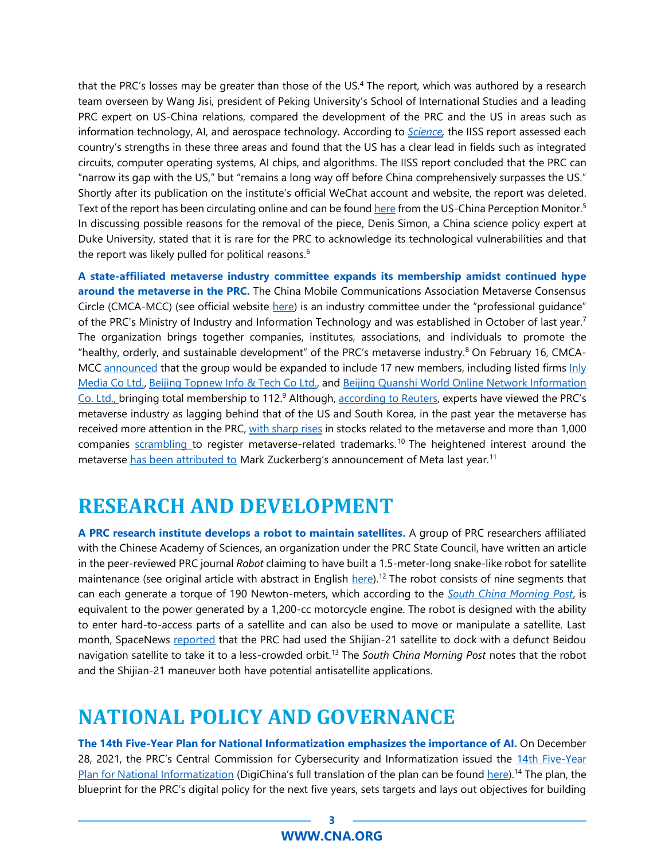that the PRC's losses may be greater than those of the US.<sup>4</sup> The report, which was authored by a research team overseen by Wang Jisi, president of Peking University's School of International Studies and a leading PRC expert on US-China relations, compared the development of the PRC and the US in areas such as information technology, AI, and aerospace technology. According to *[Science,](https://www.science.org/content/article/beijing-think-tank-offered-frank-review-china-s-technological-weaknesses-then-report)* the IISS report assessed each country's strengths in these three areas and found that the US has a clear lead in fields such as integrated circuits, computer operating systems, AI chips, and algorithms. The IISS report concluded that the PRC can "narrow its gap with the US," but "remains a long way off before China comprehensively surpasses the US." Shortly after its publication on the institute's official WeChat account and website, the report was deleted. Text of the report has been circulating online and can be found [here](http://cn3.uscnpm.org/model_item.html?action=view&table=article&id=27016) from the US-China Perception Monitor.<sup>5</sup> In discussing possible reasons for the removal of the piece, Denis Simon, a China science policy expert at Duke University, stated that it is rare for the PRC to acknowledge its technological vulnerabilities and that the report was likely pulled for political reasons.<sup>6</sup>

**A state-affiliated metaverse industry committee expands its membership amidst continued hype around the metaverse in the PRC.** The China Mobile Communications Association Metaverse Consensus Circle (CMCA-MCC) (see official website [here\)](http://dgh.tcc2017.org.cn/) is an industry committee under the "professional guidance" of the PRC's Ministry of Industry and Information Technology and was established in October of last year.<sup>7</sup> The organization brings together companies, institutes, associations, and individuals to promote the "healthy, orderly, and sustainable development" of the PRC's metaverse industry.<sup>8</sup> On February 16, CMCAMCC [announced](http://dgh.tcc2017.org.cn/article/item-320.html) that the group would be expanded to include 17 new members, including listed firms Inly [Media Co Ltd.,](https://www.reuters.com/companies/603598.SS) [Beijing Topnew Info](https://www.reuters.com/companies/300895.SZ) & Tech Co Ltd., and [Beijing Quanshi World Online Network Information](https://www.reuters.com/companies/002995.SZ)  [Co. Ltd.,](https://www.reuters.com/companies/002995.SZ) bringing total membership to 112.<sup>9</sup> Although, [according to Reuters,](https://www.reuters.com/markets/funds/chinas-metaverse-industry-committee-admits-17-new-firms-2022-02-16/) experts have viewed the PRC's metaverse industry as lagging behind that of the US and South Korea, in the past year the metaverse has received more attention in the PRC, [with sharp rises](https://www.wsj.com/articles/the-chinese-metaverse-stock-frenzy-gets-unreal-11637924048) in stocks related to the metaverse and more than 1,000 companies [scrambling t](https://www.scmp.com/tech/big-tech/article/3160411/chinese-firms-scramble-register-metaverse-trademarks-despite-beijings)o register metaverse-related trademarks.<sup>10</sup> The heightened interest around the metaverse [has been attributed to](https://www.economist.com/china/2022/02/04/building-a-metaverse-with-chinese-characteristics) Mark Zuckerberg's announcement of Meta last year.<sup>11</sup>

### <span id="page-2-0"></span>**RESEARCH AND DEVELOPMENT**

**A PRC research institute develops a robot to maintain satellites.** A group of PRC researchers affiliated with the Chinese Academy of Sciences, an organization under the PRC State Council, have written an article in the peer-reviewed PRC journal *Robot* claiming to have built a 1.5-meter-long snake-like robot for satellite maintenance (see original article with abstract in English [here\)](http://robot.sia.cn/CN/10.13973/j.cnki.robot.210208).<sup>12</sup> The robot consists of nine segments that can each generate a torque of 190 Newton-meters, which according to the *[South China Morning Post](https://www.scmp.com/news/china/science/article/3166960/chinas-snake-robot-designed-move-or-manipulate-large-object)*, is equivalent to the power generated by a 1,200-cc motorcycle engine. The robot is designed with the ability to enter hard-to-access parts of a satellite and can also be used to move or manipulate a satellite. Last month, SpaceNews [reported](https://spacenews.com/chinas-shijian-21-spacecraft-docked-with-and-towed-a-dead-satellite/) that the PRC had used the Shijian-21 satellite to dock with a defunct Beidou navigation satellite to take it to a less-crowded orbit.<sup>13</sup> The *South China Morning Post* notes that the robot and the Shijian-21 maneuver both have potential antisatellite applications.

#### <span id="page-2-1"></span>**NATIONAL POLICY AND GOVERNANCE**

**The 14th Five-Year Plan for National Informatization emphasizes the importance of AI.** On December 28, 2021, the PRC's Central Commission for Cybersecurity and Informatization issued the 14th [Five-Year](http://www.gov.cn/xinwen/2021-12/28/5664873/files/1760823a103e4d75ac681564fe481af4.pdf)  [Plan for National Informatization](http://www.gov.cn/xinwen/2021-12/28/5664873/files/1760823a103e4d75ac681564fe481af4.pdf) (DigiChina's full translation of the plan can be found [here\)](https://digichina.stanford.edu/work/translation-14th-five-year-plan-for-national-informatization-dec-2021/).<sup>14</sup> The plan, the blueprint for the PRC's digital policy for the next five years, sets targets and lays out objectives for building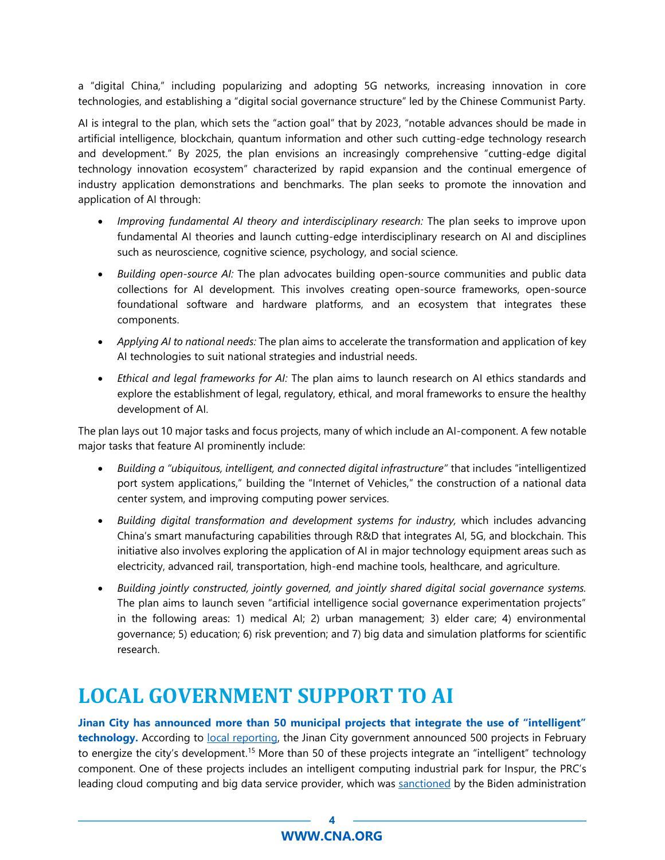a "digital China," including popularizing and adopting 5G networks, increasing innovation in core technologies, and establishing a "digital social governance structure" led by the Chinese Communist Party.

AI is integral to the plan, which sets the "action goal" that by 2023, "notable advances should be made in artificial intelligence, blockchain, quantum information and other such cutting-edge technology research and development." By 2025, the plan envisions an increasingly comprehensive "cutting-edge digital technology innovation ecosystem" characterized by rapid expansion and the continual emergence of industry application demonstrations and benchmarks. The plan seeks to promote the innovation and application of AI through:

- *Improving fundamental AI theory and interdisciplinary research:* The plan seeks to improve upon fundamental AI theories and launch cutting-edge interdisciplinary research on AI and disciplines such as neuroscience, cognitive science, psychology, and social science.
- *Building open-source AI:* The plan advocates building open-source communities and public data collections for AI development. This involves creating open-source frameworks, open-source foundational software and hardware platforms, and an ecosystem that integrates these components.
- *Applying AI to national needs:* The plan aims to accelerate the transformation and application of key AI technologies to suit national strategies and industrial needs.
- *Ethical and legal frameworks for AI:* The plan aims to launch research on AI ethics standards and explore the establishment of legal, regulatory, ethical, and moral frameworks to ensure the healthy development of AI.

The plan lays out 10 major tasks and focus projects, many of which include an AI-component. A few notable major tasks that feature AI prominently include:

- *Building a "ubiquitous, intelligent, and connected digital infrastructure"* that includes "intelligentized port system applications," building the "Internet of Vehicles," the construction of a national data center system, and improving computing power services.
- *Building digital transformation and development systems for industry,* which includes advancing China's smart manufacturing capabilities through R&D that integrates AI, 5G, and blockchain. This initiative also involves exploring the application of AI in major technology equipment areas such as electricity, advanced rail, transportation, high-end machine tools, healthcare, and agriculture.
- *Building jointly constructed, jointly governed, and jointly shared digital social governance systems.* The plan aims to launch seven "artificial intelligence social governance experimentation projects" in the following areas: 1) medical AI; 2) urban management; 3) elder care; 4) environmental governance; 5) education; 6) risk prevention; and 7) big data and simulation platforms for scientific research.

### <span id="page-3-0"></span>**LOCAL GOVERNMENT SUPPORT TO AI**

**Jinan City has announced more than 50 municipal projects that integrate the use of "intelligent"**  technology. According to [local reporting,](https://jn.house.ifeng.com/news/2022_02_06-55155754_0.shtml) the Jinan City government announced 500 projects in February to energize the city's development.<sup>15</sup> More than 50 of these projects integrate an "intelligent" technology component. One of these projects includes an intelligent computing industrial park for Inspur, the PRC's leading cloud computing and big data service provider, which was [sanctioned](https://home.treasury.gov/system/files/126/eo_cmic.pdf) by the Biden administration

#### **4 [WWW.CNA.ORG](http://www.cna.org/)**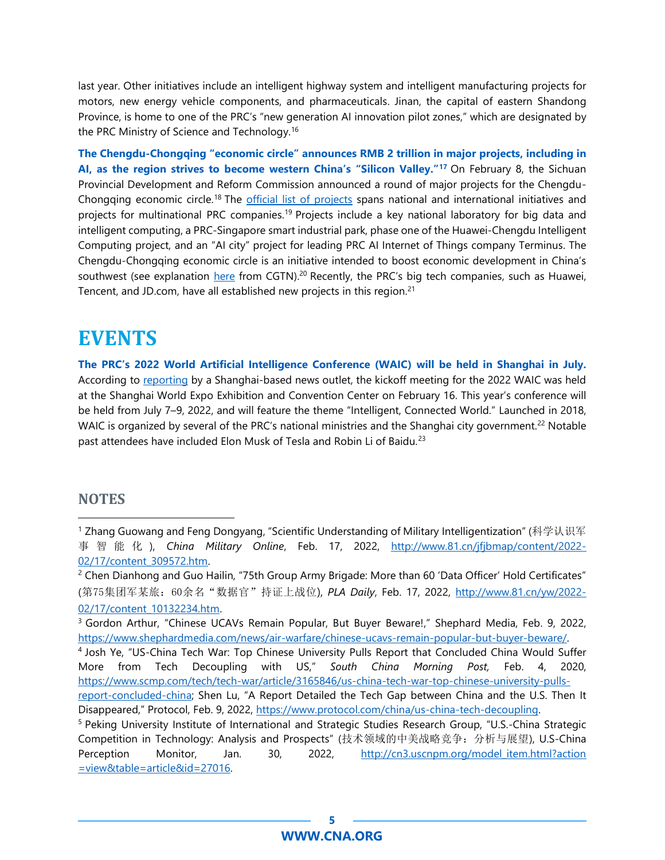last year. Other initiatives include an intelligent highway system and intelligent manufacturing projects for motors, new energy vehicle components, and pharmaceuticals. Jinan, the capital of eastern Shandong Province, is home to one of the PRC's "new generation AI innovation pilot zones," which are designated by the PRC Ministry of Science and Technology.<sup>16</sup>

**The Chengdu-Chongqing "economic circle" announces RMB 2 trillion in major projects, including in AI, as the region strives to become western China's "Silicon Valley."<sup>17</sup>** On February 8, the Sichuan Provincial Development and Reform Commission announced a round of major projects for the ChengduChongqing economic circle.<sup>18</sup> The [official list of projects](http://fgw.sc.gov.cn/sfgw/c106057/2022/2/8/a1ab6c2cdc5f41b1ae00d3615b9f2b80/files/df927f9562cd4d829a5c79647808dd61.pdf) spans national and international initiatives and projects for multinational PRC companies.<sup>19</sup> Projects include a key national laboratory for big data and intelligent computing, a PRC-Singapore smart industrial park, phase one of the Huawei-Chengdu Intelligent Computing project, and an "AI city" project for leading PRC AI Internet of Things company Terminus. The Chengdu-Chongqing economic circle is an initiative intended to boost economic development in China's southwest (see explanation [here](https://news.cgtn.com/news/2021-10-23/Explainer-China-s-Chengdu-Chongqing-economic-circle-14Bck3mgs0g/index.html) from CGTN).<sup>20</sup> Recently, the PRC's big tech companies, such as Huawei, Tencent, and JD.com, have all established new projects in this region.<sup>21</sup>

#### <span id="page-4-0"></span>**EVENTS**

**The PRC's 2022 World Artificial Intelligence Conference (WAIC) will be held in Shanghai in July.** According to [reportin](https://www.guancha.cn/economy/2022_02_16_626471.shtml)g by a Shanghai-based news outlet, the kickoff meeting for the 2022 WAIC was held at the Shanghai World Expo Exhibition and Convention Center on February 16. This year's conference will be held from July 7–9, 2022, and will feature the theme "Intelligent, Connected World." Launched in 2018, WAIC is organized by several of the PRC's national ministries and the Shanghai city government.<sup>22</sup> Notable past attendees have included Elon Musk of Tesla and Robin Li of Baidu.<sup>23</sup>

#### <span id="page-4-1"></span>**NOTES**

<sup>&</sup>lt;sup>1</sup> Zhang Guowang and Feng Dongyang, "Scientific Understanding of Military Intelligentization" (科学认识军 事智能化 ), *China Military Online*, Feb. 17, 2022, [http://www.81.cn/jfjbmap/content/2022-](http://www.81.cn/jfjbmap/content/2022-02/17/content_309572.htm) [02/17/content\\_309572.htm.](http://www.81.cn/jfjbmap/content/2022-02/17/content_309572.htm)

<sup>&</sup>lt;sup>2</sup> Chen Dianhong and Guo Hailin, "75th Group Army Brigade: More than 60 'Data Officer' Hold Certificates" (第75集团军某旅:60余名"数据官"持证上战位), *PLA Daily*, Feb. 17, 2022, [http://www.81.cn/yw/2022-](http://www.81.cn/yw/2022-02/17/content_10132234.htm) [02/17/content\\_10132234.htm.](http://www.81.cn/yw/2022-02/17/content_10132234.htm)

<sup>&</sup>lt;sup>3</sup> Gordon Arthur, "Chinese UCAVs Remain Popular, But Buyer Beware!," Shephard Media, Feb. 9, 2022, [https://www.shephardmedia.com/news/air-warfare/chinese-ucavs-remain-popular-but-buyer-beware/.](https://www.shephardmedia.com/news/air-warfare/chinese-ucavs-remain-popular-but-buyer-beware/)

<sup>4</sup> Josh Ye, "US-China Tech War: Top Chinese University Pulls Report that Concluded China Would Suffer More from Tech Decoupling with US," *South China Morning Post,* Feb. 4, 2020, [https://www.scmp.com/tech/tech-war/article/3165846/us-china-tech-war-top-chinese-university-pulls-](https://www.scmp.com/tech/tech-war/article/3165846/us-china-tech-war-top-chinese-university-pulls-report-concluded-china)

[report-concluded-china](https://www.scmp.com/tech/tech-war/article/3165846/us-china-tech-war-top-chinese-university-pulls-report-concluded-china); Shen Lu, "A Report Detailed the Tech Gap between China and the U.S. Then It Disappeared," Protocol, Feb. 9, 2022, [https://www.protocol.com/china/us-china-tech-decoupling.](https://www.protocol.com/china/us-china-tech-decoupling)

<sup>5</sup> Peking University Institute of International and Strategic Studies Research Group, "U.S.-China Strategic Competition in Technology: Analysis and Prospects" (技术领域的中美战略竞争:分析与展望), U.S-China Perception Monitor, Jan. 30, 2022, [http://cn3.uscnpm.org/model\\_item.html?action](http://cn3.uscnpm.org/model_item.html?action=view&table=article&id=27016) [=view&table=article&id=27016.](http://cn3.uscnpm.org/model_item.html?action=view&table=article&id=27016)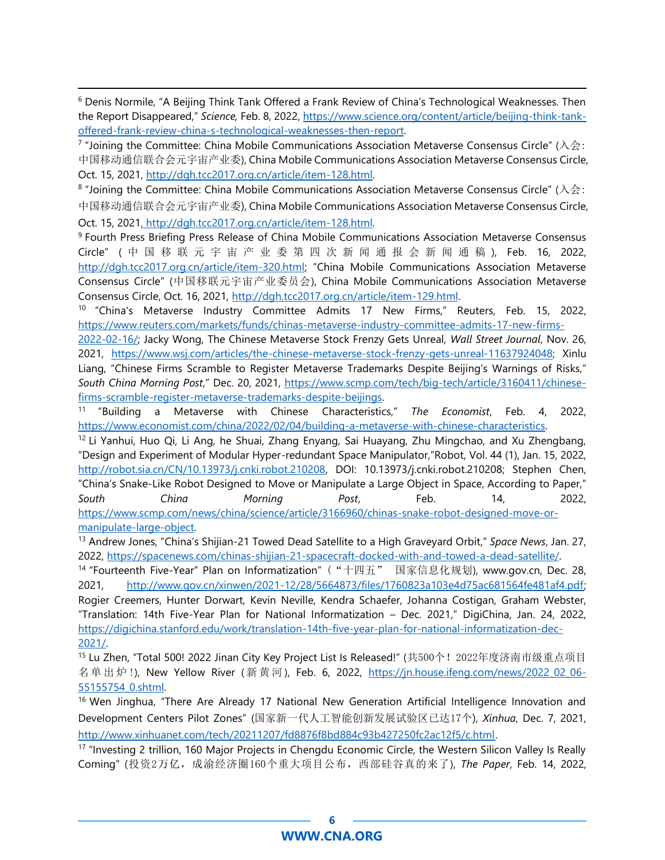<sup>6</sup> Denis Normile, "A Beijing Think Tank Offered a Frank Review of China's Technological Weaknesses. Then the Report Disappeared," *Science,* Feb. 8, 2022, [https://www.science.org/content/article/beijing-think-tank](https://www.science.org/content/article/beijing-think-tank-offered-frank-review-china-s-technological-weaknesses-then-report)[offered-frank-review-china-s-technological-weaknesses-then-report.](https://www.science.org/content/article/beijing-think-tank-offered-frank-review-china-s-technological-weaknesses-then-report)

<sup>7</sup> "Joining the Committee: China Mobile Communications Association Metaverse Consensus Circle" (入会: 中国移动通信联合会元宇宙产业委), China Mobile Communications Association Metaverse Consensus Circle, Oct. 15, 2021, [http://dgh.tcc2017.org.cn/article/item-128.html.](http://dgh.tcc2017.org.cn/article/item-128.html)

 $8$  "Joining the Committee: China Mobile Communications Association Metaverse Consensus Circle" (入会: 中国移动通信联合会元宇宙产业委), China Mobile Communications Association Metaverse Consensus Circle,

Oct. 15, 202[1, http://dgh.tcc2017.org.cn/article/item-128.html.](file:///C:/Users/kerrigana/AppData/Local/Microsoft/Windows/INetCache/Content.Outlook/DN5DVB4J/,%20http:/dgh.tcc2017.org.cn/article/item-128.html)

<sup>9</sup> Fourth Press Briefing Press Release of China Mobile Communications Association Metaverse Consensus Circle" ( 中国移联元宇宙产业委第四次新闻通报会新闻通稿 ), Feb. 16, 2022, [http://dgh.tcc2017.org.cn/article/item-320.html;](http://dgh.tcc2017.org.cn/article/item-320.html) "China Mobile Communications Association Metaverse Consensus Circle" (中国移联元宇宙产业委员会), China Mobile Communications Association Metaverse Consensus Circle, Oct. 16, 2021, [http://dgh.tcc2017.org.cn/article/item-129.html.](http://dgh.tcc2017.org.cn/article/item-129.html)

<sup>10</sup> "China's Metaverse Industry Committee Admits 17 New Firms," Reuters, Feb. 15, 2022, [https://www.reuters.com/markets/funds/chinas-metaverse-industry-committee-admits-17-new-firms-](https://www.reuters.com/markets/funds/chinas-metaverse-industry-committee-admits-17-new-firms-2022-02-16/)

[2022-02-16/;](https://www.reuters.com/markets/funds/chinas-metaverse-industry-committee-admits-17-new-firms-2022-02-16/) Jacky Wong, The Chinese Metaverse Stock Frenzy Gets Unreal, *Wall Street Journal*, Nov. 26, 2021, [https://www.wsj.com/articles/the-chinese-metaverse-stock-frenzy-gets-unreal-11637924048;](https://www.wsj.com/articles/the-chinese-metaverse-stock-frenzy-gets-unreal-11637924048) Xinlu Liang, "Chinese Firms Scramble to Register Metaverse Trademarks Despite Beijing's Warnings of Risks," *South China Morning Post*," Dec. 20, 2021, [https://www.scmp.com/tech/big-tech/article/3160411/chinese](https://www.scmp.com/tech/big-tech/article/3160411/chinese-firms-scramble-register-metaverse-trademarks-despite-beijings)[firms-scramble-register-metaverse-trademarks-despite-beijings.](https://www.scmp.com/tech/big-tech/article/3160411/chinese-firms-scramble-register-metaverse-trademarks-despite-beijings)

11 "Building a Metaverse with Chinese Characteristics," *The Economist*, Feb. 4, 2022, [https://www.economist.com/china/2022/02/04/building-a-metaverse-with-chinese-characteristics.](https://www.economist.com/china/2022/02/04/building-a-metaverse-with-chinese-characteristics)

 $12$  Li Yanhui, Huo Qi, Li Ang, he Shuai, Zhang Enyang, Sai Huayang, Zhu Mingchao, and Xu Zhengbang, "Design and Experiment of Modular Hyper-redundant Space Manipulator,"Robot, Vol. 44 (1), Jan. 15, 2022, [http://robot.sia.cn/CN/10.13973/j.cnki.robot.210208,](http://robot.sia.cn/CN/10.13973/j.cnki.robot.210208) DOI: 10.13973/j.cnki.robot.210208; Stephen Chen, "China's Snake-Like Robot Designed to Move or Manipulate a Large Object in Space, According to Paper," *South China Morning Post*, Feb. 14, 2022, [https://www.scmp.com/news/china/science/article/3166960/chinas-snake-robot-designed-move-or](https://www.scmp.com/news/china/science/article/3166960/chinas-snake-robot-designed-move-or-manipulate-large-object)[manipulate-large-object.](https://www.scmp.com/news/china/science/article/3166960/chinas-snake-robot-designed-move-or-manipulate-large-object)

<sup>13</sup> Andrew Jones, "China's Shijian-21 Towed Dead Satellite to a High Graveyard Orbit," *Space News*, Jan. 27, 2022, [https://spacenews.com/chinas-shijian-21-spacecraft-docked-with-and-towed-a-dead-satellite/.](https://spacenews.com/chinas-shijian-21-spacecraft-docked-with-and-towed-a-dead-satellite/)

<sup>14</sup> "Fourteenth Five-Year" Plan on Informatization" ("十四五" 国家信息化规划), www.gov.cn, Dec. 28, 2021, [http://www.gov.cn/xinwen/2021-12/28/5664873/files/1760823a103e4d75ac681564fe481af4.pdf;](http://www.gov.cn/xinwen/2021-12/28/5664873/files/1760823a103e4d75ac681564fe481af4.pdf) Rogier Creemers, Hunter Dorwart, Kevin Neville, Kendra Schaefer, Johanna Costigan, Graham Webster, "Translation: 14th Five-Year Plan for National Informatization – Dec. 2021," DigiChina, Jan. 24, 2022, [https://digichina.stanford.edu/work/translation-14th-five-year-plan-for-national-informatization-dec-](https://digichina.stanford.edu/work/translation-14th-five-year-plan-for-national-informatization-dec-2021/)[2021/.](https://digichina.stanford.edu/work/translation-14th-five-year-plan-for-national-informatization-dec-2021/) 

<sup>15</sup> Lu Zhen, "Total 500! 2022 Jinan City Key Project List Is Released!" (共500个! 2022年度济南市级重点项目 名单出炉 !), New Yellow River (新黄河), Feb. 6, 2022, [https://jn.house.ifeng.com/news/2022\\_02\\_06-](https://jn.house.ifeng.com/news/2022_02_06-55155754_0.shtml) [55155754\\_0.shtml.](https://jn.house.ifeng.com/news/2022_02_06-55155754_0.shtml)

<sup>16</sup> Wen Jinghua, "There Are Already 17 National New Generation Artificial Intelligence Innovation and Development Centers Pilot Zones" (国家新一代人工智能创新发展试验区已达17个), *Xinhua*, Dec. 7, 2021, [http://www.xinhuanet.com/tech/20211207/fd8876f8bd884c93b427250fc2ac12f5/c.html.](http://www.xinhuanet.com/tech/20211207/fd8876f8bd884c93b427250fc2ac12f5/c.html)

<sup>17</sup> "Investing 2 trillion, 160 Major Projects in Chengdu Economic Circle, the Western Silicon Valley Is Really Coming" (投资2万亿,成渝经济圈160个重大项目公布,西部硅谷真的来了), *The Paper*, Feb. 14, 2022,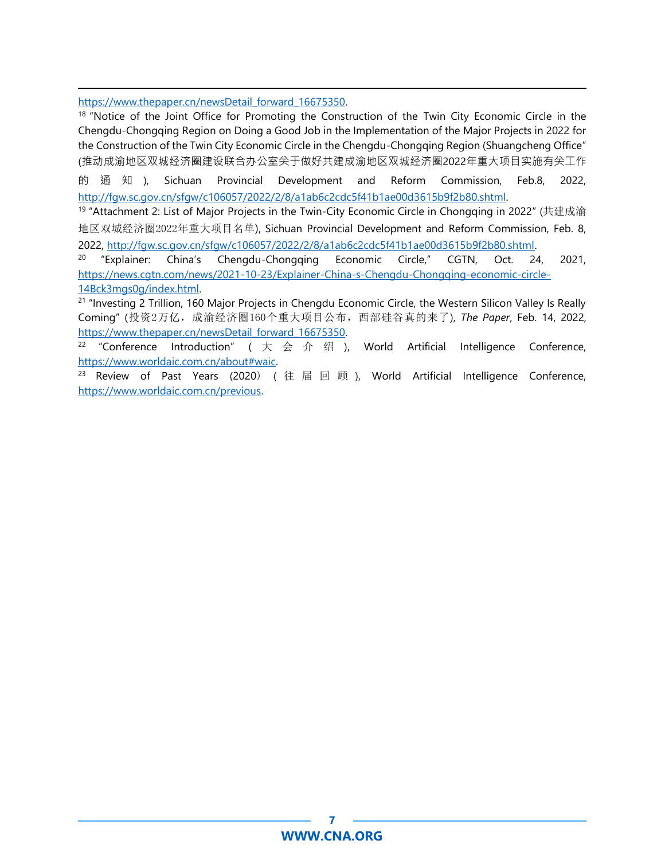https://www.thepaper.cn/newsDetail forward 16675350.

<sup>18</sup> "Notice of the Joint Office for Promoting the Construction of the Twin City Economic Circle in the Chengdu-Chongqing Region on Doing a Good Job in the Implementation of the Major Projects in 2022 for the Construction of the Twin City Economic Circle in the Chengdu-Chongqing Region (Shuangcheng Office" (推动成渝地区双城经济圈建设联合办公室关于做好共建成渝地区双城经济圈2022年重大项目实施有关工作

的通知 ), Sichuan Provincial Development and Reform Commission, Feb.8, 2022, [http://fgw.sc.gov.cn/sfgw/c106057/2022/2/8/a1ab6c2cdc5f41b1ae00d3615b9f2b80.shtml.](http://fgw.sc.gov.cn/sfgw/c106057/2022/2/8/a1ab6c2cdc5f41b1ae00d3615b9f2b80.shtml)

<sup>19</sup> "Attachment 2: List of Major Projects in the Twin-City Economic Circle in Chongqing in 2022" (共建成渝 地区双城经济圈2022年重大项目名单), Sichuan Provincial Development and Reform Commission, Feb. 8, 2022, [http://fgw.sc.gov.cn/sfgw/c106057/2022/2/8/a1ab6c2cdc5f41b1ae00d3615b9f2b80.shtml.](http://fgw.sc.gov.cn/sfgw/c106057/2022/2/8/a1ab6c2cdc5f41b1ae00d3615b9f2b80.shtml) 

<sup>20</sup> "Explainer: China's Chengdu-Chongqing Economic Circle," CGTN, Oct. 24, 2021, [https://news.cgtn.com/news/2021-10-23/Explainer-China-s-Chengdu-Chongqing-economic-circle-](https://news.cgtn.com/news/2021-10-23/Explainer-China-s-Chengdu-Chongqing-economic-circle-14Bck3mgs0g/index.html)[14Bck3mgs0g/index.html.](https://news.cgtn.com/news/2021-10-23/Explainer-China-s-Chengdu-Chongqing-economic-circle-14Bck3mgs0g/index.html) 

<sup>21</sup> "Investing 2 Trillion, 160 Major Projects in Chengdu Economic Circle, the Western Silicon Valley Is Really Coming" (投资2万亿,成渝经济圈160个重大项目公布,西部硅谷真的来了), *The Paper*, Feb. 14, 2022, https://www.thepaper.cn/newsDetail forward 16675350.

<sup>22</sup> "Conference Introduction" ( 大 会 介 绍 ), World Artificial Intelligence Conference, [https://www.worldaic.com.cn/about#waic.](https://www.worldaic.com.cn/about%23waic)

 $23$  Review of Past Years (2020) (往届回顾), World Artificial Intelligence Conference, [https://www.worldaic.com.cn/previous.](https://www.worldaic.com.cn/previous)